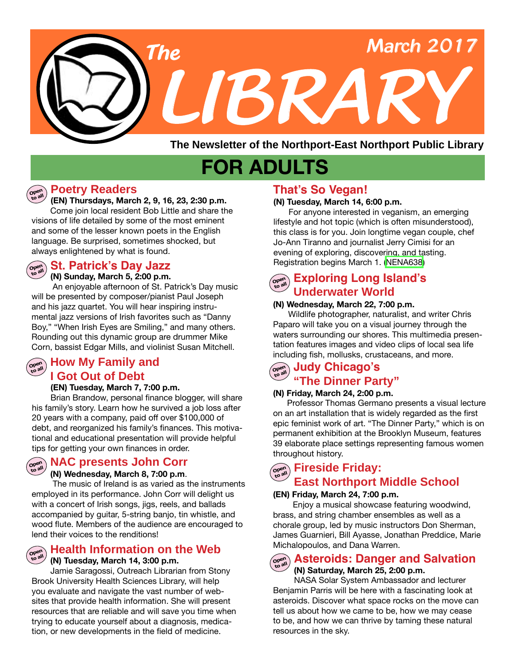

**The Newsletter of the Northport-East Northport Public Library**

# **FOR ADULTS**

### **Poetry Readers**

**Open to all**

**Open to all**

**Open to all**

#### **(EN) Thursdays, March 2, 9, 16, 23, 2:30 p.m.**

 Come join local resident Bob Little and share the visions of life detailed by some of the most eminent and some of the lesser known poets in the English language. Be surprised, sometimes shocked, but always enlightened by what is found.

# **St. Patrick's Day Jazz**

**(N) Sunday, March 5, 2:00 p.m.** An enjoyable afternoon of St. Patrick's Day music will be presented by composer/pianist Paul Joseph and his jazz quartet. You will hear inspiring instrumental jazz versions of Irish favorites such as "Danny Boy," "When Irish Eyes are Smiling," and many others. Rounding out this dynamic group are drummer Mike Corn, bassist Edgar Mills, and violinist Susan Mitchell.

# $\left(\begin{array}{c}\n\hline\n\text{open}\\
\text{total}\n\end{array}\right)$  **How My Family and I Got Out of Debt**

#### **(EN) Tuesday, March 7, 7:00 p.m.**

 Brian Brandow, personal finance blogger, will share his family's story. Learn how he survived a job loss after 20 years with a company, paid off over \$100,000 of debt, and reorganized his family's finances. This motivational and educational presentation will provide helpful tips for getting your own finances in order.

# **NAC presents John Corr**

#### **(N) Wednesday, March 8, 7:00 p.m**.

 The music of Ireland is as varied as the instruments employed in its performance. John Corr will delight us with a concert of Irish songs, jigs, reels, and ballads accompanied by guitar, 5-string banjo, tin whistle, and wood flute. Members of the audience are encouraged to lend their voices to the renditions!

#### **Open to all Health Information on the Web (N) Tuesday, March 14, 3:00 p.m.**

Jamie Saragossi, Outreach Librarian from Stony Brook University Health Sciences Library, will help you evaluate and navigate the vast number of websites that provide health information. She will present resources that are reliable and will save you time when trying to educate yourself about a diagnosis, medication, or new developments in the field of medicine.

# **That's So Vegan!**

#### **(N) Tuesday, March 14, 6:00 p.m.**

For anyone interested in veganism, an emerging lifestyle and hot topic (which is often misunderstood), this class is for you. Join longtime vegan couple, chef Jo-Ann Tiranno and journalist Jerry Cimisi for an evening of exploring, discovering, and tasting. Registration begins March 1. ([NENA638\)](http://alpha1.suffolk.lib.ny.us/record%3Dg1070569~S43)

# $\begin{bmatrix} \mathcal{L}_{\mathcal{C}^{\text{per}}} \\ \mathcal{L}_{\mathcal{S}^{\text{per}}} \end{bmatrix}$  **Exploring Long Island's Underwater World**

#### **(N) Wednesday, March 22, 7:00 p.m.**

Wildlife photographer, naturalist, and writer Chris Paparo will take you on a visual journey through the waters surrounding our shores. This multimedia presentation features images and video clips of local sea life including fish, mollusks, crustaceans, and more.

#### **Judy Chicago's "The Dinner Party" Open to all**

#### **(N) Friday, March 24, 2:00 p.m.**

 Professor Thomas Germano presents a visual lecture on an art installation that is widely regarded as the first epic feminist work of art. "The Dinner Party," which is on permanent exhibition at the Brooklyn Museum, features 39 elaborate place settings representing famous women throughout history.

# **Fireside Friday: East Northport Middle School**

#### **(EN) Friday, March 24, 7:00 p.m.**

 Enjoy a musical showcase featuring woodwind, brass, and string chamber ensembles as well as a chorale group, led by music instructors Don Sherman, James Guarnieri, Bill Ayasse, Jonathan Preddice, Marie Michalopoulos, and Dana Warren.

#### **Asteroids: Danger and Salvation Open to all**

# **(N) Saturday, March 25, 2:00 p.m.**

NASA Solar System Ambassador and lecturer Benjamin Parris will be here with a fascinating look at asteroids. Discover what space rocks on the move can tell us about how we came to be, how we may cease to be, and how we can thrive by taming these natural resources in the sky.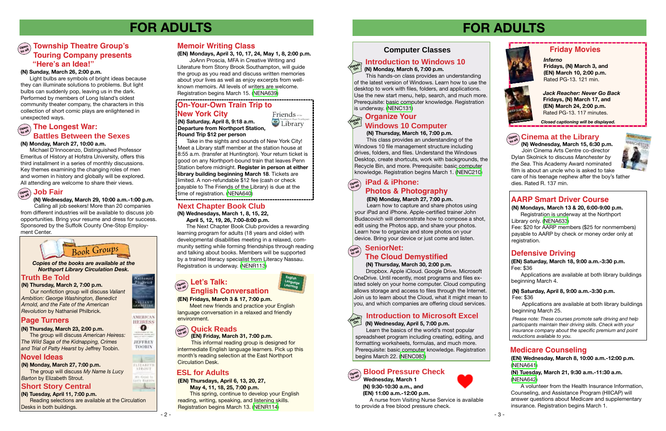**Wednesday, March 1 (N) 9:30-10:30 a.m., and (EN) 11:00 a.m.-12:00 p.m.**



 A nurse from Visiting Nurse Service is available to provide a free blood pressure check.



#### **(N) Thursday, March 30, 2:00 p.m.**

 Dropbox. Apple iCloud. Google Drive. Microsoft OneDrive. Until recently, most programs and files existed solely on your home computer. Cloud computing allows storage and access to files through the Internet. Join us to learn about the Cloud, what it might mean to you, and which companies are offering cloud services.

# **FOR ADULTS FOR ADULTS**

**Corbonic** Politerick

**SALLANT** 

AMERICAN **HEIRESS**  $\mathbf{o}$ 

**JEFFREY** TOORIN

 $\lambda =$ FLIZABET in Ani I **LIVY SART** have.







**(EN) Wednesday, March 8, 10:00 a.m.-12:00 p.m.** ([NENA641](http://alpha1.suffolk.lib.ny.us/record%3Dg1070645~S43))

**(N) Tuesday, March 21, 9:30 a.m.-11:30 a.m.**  ([NENA642](http://alpha1.suffolk.lib.ny.us/record%3Dg1070646~S43))

A volunteer from the Health Insurance Information, Counseling, and Assistance Program (HIICAP) will answer questions about Medicare and supplementary insurance. Registration begins March 1.

Fee: \$20 for AARP members (\$25 for nonmembers) payable to AARP by check or money order only at registration.

 **(N) Monday, March 6, 7:00 p.m.**

 This hands-on class provides an understanding of the latest version of Windows. Learn how to use the desktop to work with files, folders, and applications. Use the new start menu, help, search, and much more. Prerequisite: basic computer knowledge. Registration is underway. [\(NENC131](http://alpha1.suffolk.lib.ny.us/record%3Dg1040832~S43))

# **Defensive Driving**

# $\left(\begin{array}{c}\n\text{open}\\
\text{total}\n\end{array}\right)$  The Longest War: **Battles Between the Sexes**

#### **Open to all Blood Pressure Check**

*Please note: These courses promote safe driving and help participants maintain their driving skills. Check with your insurance company about the specific premium and point reductions available to you.*

# **AARP Smart Driver Course**

**(N) Mondays, March 13 & 20, 6:00-9:00 p.m.** Registration is underway at the Northport Library only. ([NENA633](http://alpha1.suffolk.lib.ny.us/record%3Dg1069969~S43))

#### **Township Theatre Group's Touring Company presents "Here's an Idea!" Open to all**

**(EN) Saturday, March 18, 9:00 a.m.-3:30 p.m.** Fee: \$36

Applications are available at both library buildings beginning March 4.

# **Medicare Counseling**

#### **(N) Sunday, March 26, 2:00 p.m.**

#### **SeniorNet: The Cloud Demystified Open to all**

Light bulbs are symbols of bright ideas because they can illuminate solutions to problems. But light bulbs can suddenly pop, leaving us in the dark. Performed by members of Long Island's oldest community theater company, the characters in this collection of short comic plays are enlightened in unexpected ways.

**(N) Monday, March 27, 10:00 a.m.**

Michael D'Innocenzo, Distinguished Professor Emeritus of History at Hofstra University, offers this third installment in a series of monthly discussions. Key themes examining the changing roles of men and women in history and globally will be explored. All attending are welcome to share their views.

#### $\begin{pmatrix} \text{open} \\ \text{to all} \end{pmatrix}$ **Job Fair**

### **(N) Thursday, March 16, 7:00 p.m.**

This class provides an understanding of the Windows 10 file management structure including drives, folders, and files. Understand the Windows Desktop, create shortcuts, work with backgrounds, the Recycle Bin, and more. Prerequisite: basic computer knowledge. Registration begins March 1. ([NENC210\)](http://alpha1.suffolk.lib.ny.us/record%3Dg1071120~S43)

Take in the sights and sounds of New York City! Meet a Library staff member at the station house at 8:55 a.m. (transfer at Huntington). Your return ticket is good on any Northport-bound train that leaves Penn Station before midnight. **Register in person at either library building beginning March 18**. Tickets are limited. A non-refundable \$12 fee (cash or check payable to The Friends of the Library) is due at the

# time of registration. [\(NENA640\)](http://alpha1.suffolk.lib.ny.us/record%3Dg1070653~S43)

**(N) Tuesday, April 11, 7:00 p.m.** Reading selections are available at the Circulation Desks in both buildings.

**Open to all**

# **iPad & iPhone: Photos & Photography**

#### **(EN) Monday, March 27, 7:00 p.m.**

Learn how to capture and share photos using your iPad and iPhone. Apple-certified trainer John Budacovich will demonstrate how to compose a shot, edit using the Photos app, and share your photos. Learn how to organize and store photos on your device. Bring your device or just come and listen.

### **(N) Wednesday, March 29, 10:00 a.m.-1:00 p.m.**

 Calling all job seekers! More than 20 companies from different industries will be available to discuss job opportunities. Bring your resume and dress for success. Sponsored by the Suffolk County One-Stop Employment Center.

*Jack Reacher: Never Go Back* **Fridays, (N) March 17, and (EN) March 24, 2:00 p.m.** Rated PG-13. 117 minutes.

# **Friday Movies**

*Inferno* **Fridays, (N) March 3, and (EN) March 10, 2:00 p.m.**  Rated PG-13. 121 min.

*Closed captioning will be displayed.*

#### **Introduction to Windows 10 Hands**



### **Truth Be Told**

# **Page Turners**

# **Novel Ideas**

#### **(N) Thursday, March 23, 2:00 p.m.**

 The group will discuss *American Heiress: The Wild Saga of the Kidnapping, Crimes and Trial of Patty Hearst* by Jeffrey Toobin.

#### *Copies of the books are available at the Northport Library Circulation Desk.*

**(N) Thursday, March 2, 7:00 p.m.** Our nonfiction group will discuss *Valiant Ambition: George Washington, Benedict* 

*Arnold, and the Fate of the American Revolution* by Nathaniel Philbrick.

#### **(EN) Fridays, March 3 & 17, 7:00 p.m.**

Meet new friends and practice your English language conversation in a relaxed and friendly environment.

#### **(EN) Thursdays, April 6, 13, 20, 27,**

 **May 4, 11, 18, 25, 7:00 p.m.**

#### **Organize Your Windows 10 Computer Hands On**

This spring, continue to develop your English reading, writing, speaking, and listening skills. Registration begins March 13. [\(NENR114](http://alpha1.suffolk.lib.ny.us/record%3Dg1070941~S43))

**(EN) Friday, March 31, 7:00 p.m.**

This informal reading group is designed for intermediate English language learners. Pick up this month's reading selection at the East Northport Circulation Desk.

**(N) Monday, March 27, 7:00 p.m.** The group will discuss *My Name Is Lucy Barton* by Elizabeth Strout.

# **Memoir Writing Class**

# **(EN) Mondays, April 3, 10, 17, 24, May 1, 8, 2:00 p.m.**

 JoAnn Proscia, MFA in Creative Writing and Literature from Stony Brook Southampton, will guide the group as you read and discuss written memories about your lives as well as enjoy excerpts from wellknown memoirs. All levels of writers are welcome. Registration begins March 15. [\(NENA639](http://alpha1.suffolk.lib.ny.us/record%3Dg1070615~S43))

**(N) Saturday, April 8, 9:18 a.m. Departure from Northport Station, Round Trip \$12 per person**



# **Open to all Let's Talk: English Conversation**

# **Open to all Quick Reads**

# **On-Your-Own Train Trip to**

# **New York City**

# **Short Story Central**

 Learn the basics of the world's most popular spreadsheet program including creating, editing, and formatting worksheets, formulas, and much more. Prerequisite: basic computer knowledge. Registration begins March 22. [\(NENC083\)](http://alpha1.suffolk.lib.ny.us/record%3Dg1017266~S43)

**(N) Wednesday, April 5, 7:00 p.m. Hands On**

# **Introduction to Microsoft Excel**

**(N) Saturday, April 8, 9:00 a.m.-3:30 p.m.** Fee: \$36

Applications are available at both library buildings beginning March 25.

# **ESL for Adults**



**On**

#### **Cinema at the Library Open to all**

 **(N) Wednesday, March 15, 6:30 p.m.** Join Cinema Arts Centre co-director Dylan Skolnick to discuss *Manchester by the Sea*. This Academy Award nominated film is about an uncle who is asked to take care of his teenage nephew after the boy's father dies. Rated R. 137 min.



 **April 5, 12, 19, 26, 7:00-8:00 p.m.**

#### **(N) Wednesdays, March 1, 8, 15, 22, Next Chapter Book Club**

 The Next Chapter Book Club provides a rewarding learning program for adults (18 years and older) with developmental disabilities meeting in a relaxed, community setting while forming friendships through reading and talking about books. Members will be supported by a trained literacy specialist from Literacy Nassau. Registration is underway. ([NENR113\)](http://alpha1.suffolk.lib.ny.us/record%3Dg1070212~S43)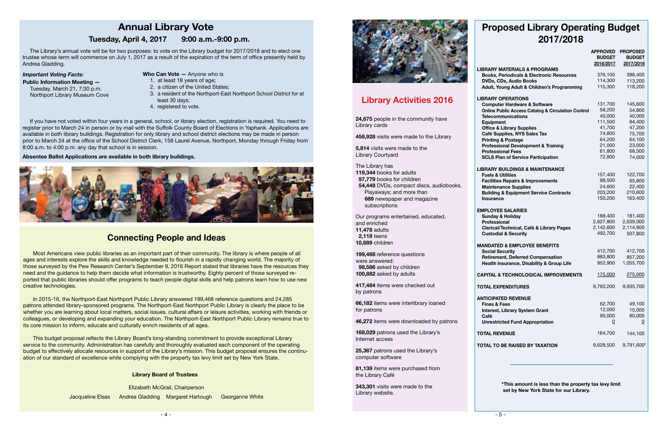# **Connecting People and Ideas**

Elizabeth McGrail, Chairperson Jacqueline Elsas Andrea Gladding Margaret Hartough Georganne White

 $-4$  -



**English**  ages and interests explore the skills and knowledge needed to flourish in a rapidly changing world. The majority of those surveyed by the Pew Research Center's September 9, 2016 Report stated that libraries have the resources they **Learning** need and the guidance to help them decide what information is trustworthy. Eighty percent of those surveyed re-Most Americans view public libraries as an important part of their community. The library is where people of all ported that public libraries should offer programs to teach people digital skills and help patrons learn how to use new creative technologies.

In 2015-16, the Northport-East Northport Public Library answered 199,468 reference questions and 24,285 patrons attended library-sponsored programs. The Northport-East Northport Public Library is clearly the place to be whether you are learning about local matters, social issues, cultural affairs or leisure activities, working with friends or colleagues, or developing and expanding your education. The Northport-East Northport Public Library remains true to its core mission to inform, educate and culturally enrich residents of all ages.

This budget proposal reflects the Library Board's long-standing commitment to provide exceptional Library service to the community. Administration has carefully and thoroughly evaluated each component of the operating budget to effectively allocate resources in support of the Library's mission. This budget proposal ensures the continuation of our standard of excellence while complying with the property tax levy limit set by New York State.

# **DVD** LIBRA **Telecommunications**

The Library's annual vote will be for two purposes: to vote on the Library budget for 2017/2018 and to elect one trustee whose term will commence on July 1, 2017 as a result of the expiration of the term of office presently held by Andrea Gladding.

*Important Voting Facts:*

**Public Information Meeting —**  Tuesday, March 21, 7:30 p.m. Northport Library Museum Cove

If you have not voted within four years in a general, school, or library election, registration is required. You need to register prior to March 24 in person or by mail with the Suffolk County Board of Elections in Yaphank. Applications are available in both library buildings. Registration for only library and school district elections may be made in person prior to March 24 at the office of the School District Clerk, 158 Laurel Avenue, Northport, Monday through Friday from 8:00 a.m. to 4:00 p.m. any day that school is in session.

**Absentee Ballot Applications are available in both library buildings.**



# **Annual Library Vote**

# **Tuesday, April 4, 2017 9:00 a.m.-9:00 p.m.**

**Who Can Vote —** Anyone who is

- 1. at least 18 years of age;
- 2. a citizen of the United States;
- 3. a resident of the Northport-East Northport School District for at least 30 days;
- 4. registered to vote.

**Library Activities 2016**

# **Proposed Library Operating Budget 2017/2018**

|                                                               | <b>APPROVED</b><br><b>BUDGET</b><br>2016/2017 | <b>PROPOSED</b><br><b>BUDGET</b><br>2017/2018 |
|---------------------------------------------------------------|-----------------------------------------------|-----------------------------------------------|
| <b>LIBRARY MATERIALS &amp; PROGRAMS</b>                       |                                               |                                               |
| <b>Books, Periodicals &amp; Electronic Resources</b>          | 376,100                                       | 398,400                                       |
| DVDs, CDs, Audio Books                                        | 114,300                                       | 113,200                                       |
| Adult, Young Adult & Children's Programming                   | 115,300                                       | 118,200                                       |
|                                                               |                                               |                                               |
| <b>LIBRARY OPERATIONS</b>                                     |                                               |                                               |
| <b>Computer Hardware &amp; Software</b>                       | 131,700                                       | 145,600                                       |
| <b>Online Public Access Catalog &amp; Circulation Control</b> | 58,200                                        | 54,800                                        |
| <b>Telecommunications</b>                                     | 40,000                                        | 40,000                                        |
| <b>Equipment</b>                                              | 111,500                                       | 84,400                                        |
| <b>Office &amp; Library Supplies</b>                          | 41,700                                        | 47,200                                        |
| Café Supplies, NYS Sales Tax                                  | 74,800                                        | 75,700                                        |
| <b>Printing &amp; Postage</b>                                 | 64,200                                        | 64,100                                        |
| <b>Professional Development &amp; Training</b>                | 21,000                                        | 23,000                                        |
| <b>Professional Fees</b>                                      | 61,800                                        | 68,500                                        |
| <b>SCLS Plan of Service Participation</b>                     | 72,800                                        | 74,000                                        |
|                                                               |                                               |                                               |
| <b>LIBRARY BUILDINGS &amp; MAINTENANCE</b>                    |                                               |                                               |
| <b>Fuels &amp; Utilities</b>                                  | 157,400                                       | 122,700                                       |
| <b>Facilities Repairs &amp; Improvements</b>                  | 98,500                                        | 65,800                                        |
| <b>Maintenance Supplies</b>                                   | 24,600                                        | 22,400                                        |
| <b>Building &amp; Equipment Service Contracts</b>             | 203,200                                       | 210,600                                       |
| <b>Insurance</b>                                              | 150,200                                       | 163,400                                       |
| <b>EMPLOYEE SALARIES</b>                                      |                                               |                                               |
| <b>Sunday &amp; Holiday</b>                                   | 188,400                                       | 181,400                                       |
| Professional                                                  | 2,627,800                                     | 2,639,000                                     |
| Clerical/Technical, Café & Library Pages                      | 2,142,600                                     | 2,114,900                                     |
| <b>Custodial &amp; Security</b>                               | 492,700                                       | 507,800                                       |
|                                                               |                                               |                                               |
| <b>MANDATED &amp; EMPLOYEE BENEFITS</b>                       |                                               |                                               |
| <b>Social Security</b>                                        | 412,700                                       | 412,700                                       |
| <b>Retirement, Deferred Compensation</b>                      | 883,800                                       | 857,200                                       |
| Health Insurance, Disability & Group Life                     | 952,900                                       | 1,055,700                                     |
|                                                               |                                               |                                               |
| <b>CAPITAL &amp; TECHNOLOGICAL IMPROVEMENTS</b>               | 175,000                                       | 275,000                                       |
| TOTAL EXPENDITURES                                            | 9,793,200                                     | 9,935,700                                     |
| <b>ANTICIPATED REVENUE</b>                                    |                                               |                                               |
| <b>Fines &amp; Fees</b>                                       | 62,700                                        | 49,100                                        |
| <b>Interest, Library System Grant</b>                         | 12,000                                        | 15,000                                        |
| Café                                                          | 90,000                                        | 80,000                                        |
| <b>Unrestricted Fund Appropriation</b>                        | 0                                             | $\overline{0}$                                |
|                                                               |                                               |                                               |
| <b>TOTAL REVENUE</b>                                          | 164,700                                       | 144,100                                       |
|                                                               |                                               |                                               |
| TOTAL TO BE RAISED BY TAXATION                                | 9,628,500                                     | 9,791,600*                                    |
|                                                               |                                               |                                               |

 **\*This amount is less than the property tax levy limit set by New York State for our Library.**

**24,675** people in the community have Library cards

**458,928** visits were made to the Library

**5,814** visits were made to the Library Courtyard

The Library has **119,344** books for adults  **97,779** books for children

 **54,448** DVDs, compact discs, audiobooks, Playaways; and more than **689** newspaper and magazine subscriptions

Our programs entertained, educated, and enriched **11,478** adults  **2,118** teens **10,689** children

**199,468** reference questions were answered:  **98,586** asked by children **100,882** asked by adults

**417,484** items were checked out by patrons

**66,182** items were interlibrary loaned for patrons

**46,272** items were downloaded by patrons

**168,029** patrons used the Library's Internet access

**25,367** patrons used the Library's computer software

**81,139** items were purchased from the Library Café

**343,301** visits were made to the Library website.

#### **Library Board of Trustees**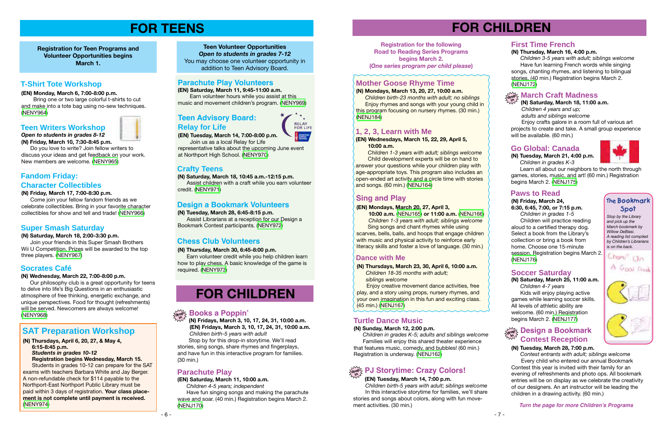# **FOR CHILDREN**

**(N) Fridays, March 3, 10, 17, 24, 31, 10:00 a.m. (EN) Fridays, March 3, 10, 17, 24, 31, 10:00 a.m.**  *Children birth-5 years with adult*

 Stop by for this drop-in storytime. We'll read stories, sing songs, share rhymes and fingerplays, and have fun in this interactive program for families. (30 min.)

# **drop in Books a Poppin'**

#### **(N) Saturday, March 25, 11:00 a.m.**  *Children 4-7 years*

Kids will enjoy playing active games while learning soccer skills. All levels of athletic ability are welcome. (60 min.) Registration begins March 2. ([NENJ177](http://alpha1.suffolk.lib.ny.us/record%3Dg1068629~S43))

# **Soccer Saturday**

# **Paws to Read**

**(N) Friday, March 24, 6:30, 6:45, 7:00, or 7:15 p.m.**  *Children in grades 1-5*

 Children will practice reading aloud to a certified therapy dog. Select a book from the Library's collection or bring a book from home. Choose one 15-minute session. Registration begins March 2. [\(NENJ176\)](http://alpha1.suffolk.lib.ny.us/record%3Dg1070116~S43)

*Stop by the Library and pick up the March bookmark by Willow DeBlasi. A reading list compiled by Children's Librarians is on the back.*







*Open to students in grades 8-12* **(N) Friday, March 10, 7:30-8:45 p.m.**

 Do you love to write? Join fellow writers to discuss your ideas and get feedback on your work. New members are welcome. ([NENY965\)](http://alpha1.suffolk.lib.ny.us/record%3Dg1070307~S43)

**Registration for Teen Programs and Volunteer Opportunities begins March 1.**

# **FOR TEENS**

**(EN) Saturday, March 11, 9:45-11:00 a.m.** Earn volunteer hours while you assist at this music and movement children's program. [\(NENY969\)](http://alpha1.suffolk.lib.ny.us/record%3Dg1070325~S43)

#### **(N) Tuesday, March 28, 6:45-8:15 p.m.**

 Assist Librarians at a reception for our Design a Bookmark Contest participants. [\(NENY972\)](http://alpha1.suffolk.lib.ny.us/record%3Dg1070328~S43)

#### **(N) Saturday, March 18, 2:00-3:30 p.m.**

 Join your friends in this Super Smash Brothers Wii U Competition. Prizes will be awarded to the top three players. ([NENY967\)](http://alpha1.suffolk.lib.ny.us/record%3Dg1070310~S43)

# **Parachute Play Volunteers**

**(EN) Tuesday, March 14, 7:00-8:00 p.m.** 

Join us as a local Relay for Life representative talks about the upcoming June event at Northport High School. [\(NENY970\)](http://alpha1.suffolk.lib.ny.us/record%3Dg1070326~S43)

#### **Teen Writers Workshop**

# **Super Smash Saturday**

#### **Socrates Café**

#### **(N) Wednesday, March 22, 7:00-8:00 p.m.**

 Our philosophy club is a great opportunity for teens to delve into life's Big Questions in an enthusiastic atmosphere of free thinking, energetic exchange, and unique perspectives. Food for thought (refreshments) will be served. Newcomers are always welcome! [\(NENY968\)](http://alpha1.suffolk.lib.ny.us/record%3Dg1070312~S43)

answer your questions while your simular pluy with age-appropriate toys. This program also includes an open-ended art activity and a circle time with stories  *Children 1-3 years with adult; siblings welcome* Child development experts will be on hand to answer your questions while your children play with and songs. (60 min.) ([NENJ164](http://alpha1.suffolk.lib.ny.us/record%3Dg1070112~S43))

**Teen Volunteer Opportunities** *Open to students in grades 7-12* You may choose one volunteer opportunity in addition to Teen Advisory Board.

# **Teen Advisory Board: Relay for Life**

# **Design a Bookmark Volunteers**

# **T-Shirt Tote Workshop**

#### **(EN) Monday, March 6, 7:00-8:00 p.m.**

 Bring one or two large colorful t-shirts to cut and make into a tote bag using no-sew techniques. ([NENY964](http://alpha1.suffolk.lib.ny.us/record%3Dg1070306~S43))

#### **(N) Thursday, March 30, 6:45-8:00 p.m.**

 Earn volunteer credit while you help children learn how to play chess. A basic knowledge of the game is required. [\(NENY973](http://alpha1.suffolk.lib.ny.us/record%3Dg1070329~S43))

# **Chess Club Volunteers**

# **Crafty Teens**

**(N) Saturday, March 18, 10:45 a.m.-12:15 p.m.** 

 Assist children with a craft while you earn volunteer credit. ([NENY971\)](http://alpha1.suffolk.lib.ny.us/record%3Dg1070327~S43)

Enjoy crafts galore in a room full of various art projects to create and take. A small group experience will be available. (60 min.)

### **Fandom Friday: Character Collectibles**

#### **(N) Friday, March 17, 7:00-8:30 p.m.**

Learn all about our neighbors to the north through games, stories, music, and art! (60 min.) Registration begins March 2. [\(NENJ175\)](http://alpha1.suffolk.lib.ny.us/record%3Dg1070497~S43)

 Come join your fellow fandom friends as we celebrate collectibles. Bring in your favorite character collectibles for show and tell and trade! ([NENY966](http://alpha1.suffolk.lib.ny.us/record%3Dg1070309~S43))

#### **(N) Thursdays, April 6, 20, 27, & May 4, 6:15-8:45 p.m.**   *Students in grades 10-12*

# **drop besign a Bookmark Contest Reception**

**Registration begins Wednesday, March 15.** Students in grades 10-12 can prepare for the SAT exams with teachers Barbara White and Jay Berger. A non-refundable check for \$114 payable to the Northport-East Northport Public Library must be paid within 3 days of registration. **Your class placement is not complete until payment is received.** ([NENY974](http://alpha1.suffolk.lib.ny.us/record%3Dg1070610~S43))

# **SAT Preparation Workshop**

# **FOR CHILDREN**

#### **(EN) Saturday, March 11, 10:00 a.m.**

 *Children 4-5 years; independent* Have fun singing songs and making the parachute wave and soar. (40 min.) Registration begins March 2. ([NENJ170](http://alpha1.suffolk.lib.ny.us/record%3Dg1070443~S43))

**Turtle Dance Music** this program focusing on nursery rhymes. (30 min.)  *Children birth-23 months with adult; no siblings* **Enjoy rhymes and songs with your young child in** [\(NENJ184\)](http://alpha1.suffolk.lib.ny.us/record%3Dg1070769~S43)

### **Parachute Play**

**Registration for the following Road to Reading Series Programs begins March 2. (***One series program per child please***)**

**Turn the page for more Children's Programs**

#### **(EN) Mondays, March 20, 27, April 3,**

 **10:00 a.m.** ([NENJ165](http://alpha1.suffolk.lib.ny.us/record%3Dg1070096~S43)) **or 11:00 a.m.** [\(NENJ166](http://alpha1.suffolk.lib.ny.us/record%3Dg1070098~S43))  *Children 1-3 years with adult; siblings welcome*

 Sing songs and chant rhymes while using scarves, bells, balls, and hoops that engage children with music and physical activity to reinforce early literacy skills and foster a love of language. (30 min.)

# **Sing and Play**

## **1, 2, 3, Learn with Me**

#### **(EN) Wednesdays, March 15, 22, 29, April 5, 10:00 a.m.**

**(N) Thursdays, March 23, 30, April 6, 10:00 a.m.**

*Children 18-35 months with adult; siblings welcome* 

Enjoy creative movement dance activities, free play, and a story using props, nursery rhymes, and your own imagination in this fun and exciting class. (45 min.) [\(NENJ167\)](http://alpha1.suffolk.lib.ny.us/record%3Dg1070188~S43)

# **Dance with Me**

#### **(N) Sunday, March 12, 2:00 p.m.**

 *Children in grades K-5; adults and siblings welcome* Families will enjoy this shared theater experience that features music, comedy, and bubbles! (60 min.) Registration is underway. ([NENJ162](http://alpha1.suffolk.lib.ny.us/record%3Dg1068628~S43))

# **Turtle Dance Music**

#### **(EN) Tuesday, March 14, 7:00 p.m.**

 *Children birth-5 years with adult; siblings welcome* In this interactive storytime for families, we'll share stories and songs about colors, along with fun movement activities. (30 min.)

# **drop PJ Storytime: Crazy Colors! in**

# **(N) Thursday, March 16, 4:00 p.m.**

 *Children 3-5 years with adult; siblings welcome* Have fun learning French words while singing songs, chanting rhymes, and listening to bilingual stories. (40 min.) Registration begins March 2. [\(NENJ172\)](http://alpha1.suffolk.lib.ny.us/record%3Dg1069719~S43)

# **First Time French**

### **(N) Saturday, March 18, 11:00 a.m.**

 *Children 4 years and up; adults and siblings welcome*

#### **drop March Craft Madness in**

**(N) Tuesday, March 21, 4:00 p.m.**  *Children in grades K-3*

# **Go Global: Canada**

### **(N) Tuesday, March 28, 7:00 p.m.**

 *Contest entrants with adult; siblings welcome* Every child who entered our annual Bookmark Contest this year is invited with their family for an evening of refreshments and photo ops. All bookmark entries will be on display as we celebrate the creativity of our designers. An art instructor will be leading the children in a drawing activity. (60 min.)

# **Mother Goose Rhyme Time**

#### **(N) Mondays, March 13, 20, 27, 10:00 a.m.**

### **The Bookmark Spot**